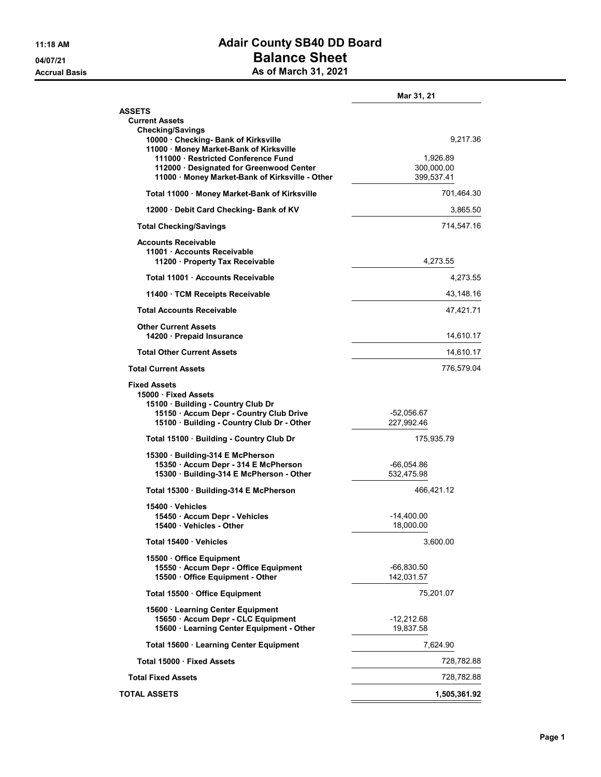## 11:18 AM **Adair County SB40 DD Board** 04/07/21 Dalance Sheet Accrual Basis **As of March 31, 2021**

|                                                                                                                                                                          | Mar 31, 21                           |
|--------------------------------------------------------------------------------------------------------------------------------------------------------------------------|--------------------------------------|
| <b>ASSETS</b><br><b>Current Assets</b>                                                                                                                                   |                                      |
| <b>Checking/Savings</b><br>10000 · Checking- Bank of Kirksville<br>11000 · Money Market-Bank of Kirksville                                                               | 9,217.36                             |
| 111000 Restricted Conference Fund<br>112000 · Designated for Greenwood Center<br>11000 Money Market-Bank of Kirksville - Other                                           | 1,926.89<br>300,000.00<br>399,537.41 |
| Total 11000 Money Market-Bank of Kirksville                                                                                                                              | 701,464.30                           |
| 12000 Debit Card Checking- Bank of KV                                                                                                                                    | 3,865.50                             |
| <b>Total Checking/Savings</b>                                                                                                                                            | 714,547.16                           |
| <b>Accounts Receivable</b><br>11001 Accounts Receivable<br>11200 · Property Tax Receivable                                                                               | 4,273.55                             |
| Total 11001 Accounts Receivable                                                                                                                                          | 4,273.55                             |
| 11400 TCM Receipts Receivable                                                                                                                                            | 43,148.16                            |
| <b>Total Accounts Receivable</b>                                                                                                                                         | 47,421.71                            |
| <b>Other Current Assets</b><br>14200 · Prepaid Insurance                                                                                                                 | 14,610.17                            |
| <b>Total Other Current Assets</b>                                                                                                                                        | 14,610.17                            |
| <b>Total Current Assets</b>                                                                                                                                              | 776,579.04                           |
| <b>Fixed Assets</b><br>15000 Fixed Assets<br>15100 · Building - Country Club Dr<br>15150 · Accum Depr - Country Club Drive<br>15100 · Building - Country Club Dr - Other | $-52,056.67$<br>227,992.46           |
| Total 15100 · Building - Country Club Dr                                                                                                                                 | 175,935.79                           |
| 15300 Building-314 E McPherson<br>15350 · Accum Depr - 314 E McPherson<br>15300 · Building-314 E McPherson - Other                                                       | -66,054.86<br>532,475.98             |
| Total 15300 Building-314 E McPherson                                                                                                                                     | 466,421.12                           |
| 15400 Vehicles<br>15450 · Accum Depr - Vehicles<br>15400 Vehicles - Other                                                                                                | $-14,400.00$<br>18,000.00            |
| Total 15400 Vehicles                                                                                                                                                     | 3,600.00                             |
| 15500 · Office Equipment<br>15550 · Accum Depr - Office Equipment<br>15500 · Office Equipment - Other                                                                    | -66,830.50<br>142,031.57             |
| Total 15500 Office Equipment                                                                                                                                             | 75,201.07                            |
| 15600 · Learning Center Equipment<br>15650 · Accum Depr - CLC Equipment<br>15600 · Learning Center Equipment - Other                                                     | $-12,212.68$<br>19,837.58            |
| Total 15600 · Learning Center Equipment                                                                                                                                  | 7,624.90                             |
| Total 15000 · Fixed Assets                                                                                                                                               | 728,782.88                           |
| <b>Total Fixed Assets</b>                                                                                                                                                | 728,782.88                           |
| <b>TOTAL ASSETS</b>                                                                                                                                                      | 1,505,361.92                         |